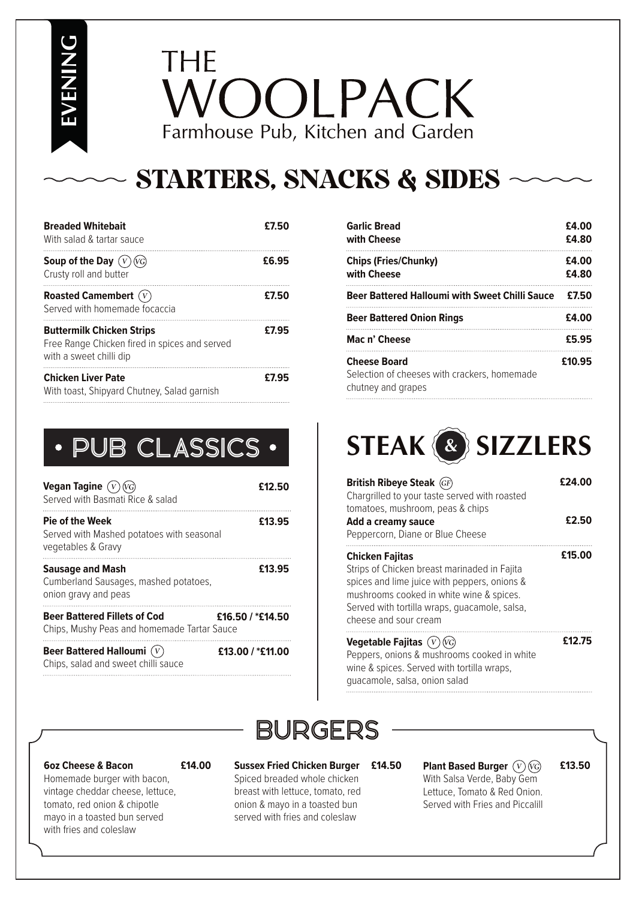**EVENING**

## **THE** VOOLPACK Farmhouse Pub, Kitchen and Garden

## STARTERS, SNACKS & SIDES

| <b>Breaded Whitebait</b><br>With salad & tartar sauce                                                        | £7.50 |
|--------------------------------------------------------------------------------------------------------------|-------|
| Soup of the Day $(V)(V)$<br>Crusty roll and butter                                                           | £6.95 |
| <b>Roasted Camembert</b> (V)<br>Served with homemade focaccia                                                | £7.50 |
| <b>Buttermilk Chicken Strips</b><br>Free Range Chicken fired in spices and served<br>with a sweet chilli dip | £7.95 |
| <b>Chicken Liver Pate</b><br>With toast, Shipyard Chutney, Salad garnish                                     | £7.95 |

| PUB CLASSICS                                                                              |                  |
|-------------------------------------------------------------------------------------------|------------------|
| Vegan Tagine $(V)(G)$<br>Served with Basmati Rice & salad                                 | £12.50           |
| <b>Pie of the Week</b><br>Served with Mashed potatoes with seasonal<br>vegetables & Gravy | £13.95           |
| <b>Sausage and Mash</b><br>Cumberland Sausages, mashed potatoes,<br>onion gravy and peas  | £13.95           |
| <b>Beer Battered Fillets of Cod</b><br>Chips, Mushy Peas and homemade Tartar Sauce        | £16.50 / *£14.50 |
| Beer Battered Halloumi $(V)$<br>Chips, salad and sweet chilli sauce                       | £13.00 / *£11.00 |

| Garlic Bread<br>with Cheese                                                               | £4.00<br>£4.80 |
|-------------------------------------------------------------------------------------------|----------------|
| <b>Chips (Fries/Chunky)</b><br>with Cheese                                                | £4.00<br>£4.80 |
| <b>Beer Battered Halloumi with Sweet Chilli Sauce</b>                                     | £7.50          |
| <b>Beer Battered Onion Rings</b>                                                          | £4.00          |
| Mac n' Cheese                                                                             | £5.95          |
| <b>Cheese Board</b><br>Selection of cheeses with crackers, homemade<br>chutney and grapes | £10.95         |

# PUB CLASSICS **STEAK & SIZZLERS**

| <b>British Ribeye Steak</b> (GF)<br>Chargrilled to your taste served with roasted<br>tomatoes, mushroom, peas & chips<br>Add a creamy sauce<br>Peppercorn, Diane or Blue Cheese                                                              | £24.00<br>£2.50 |
|----------------------------------------------------------------------------------------------------------------------------------------------------------------------------------------------------------------------------------------------|-----------------|
| <b>Chicken Fajitas</b><br>Strips of Chicken breast marinaded in Fajita<br>spices and lime juice with peppers, onions &<br>mushrooms cooked in white wine & spices.<br>Served with tortilla wraps, quacamole, salsa,<br>cheese and sour cream | £15.00          |
| <b>Vegetable Fajitas</b> $(V)(VG)$<br>Peppers, onions & mushrooms cooked in white<br>wine & spices. Served with tortilla wraps,<br>quacamole, salsa, onion salad                                                                             | £12.75          |



#### **6oz Cheese & Bacon**

**£14.00**

Homemade burger with bacon, vintage cheddar cheese, lettuce, tomato, red onion & chipotle mayo in a toasted bun served with fries and coleslaw

### **Sussex Fried Chicken Burger**

Spiced breaded whole chicken breast with lettuce, tomato, red onion & mayo in a toasted bun served with fries and coleslaw

### **Plant Based Burger £14.50 £13.50** With Salsa Verde, Baby Gem

Lettuce, Tomato & Red Onion. Served with Fries and Piccalill